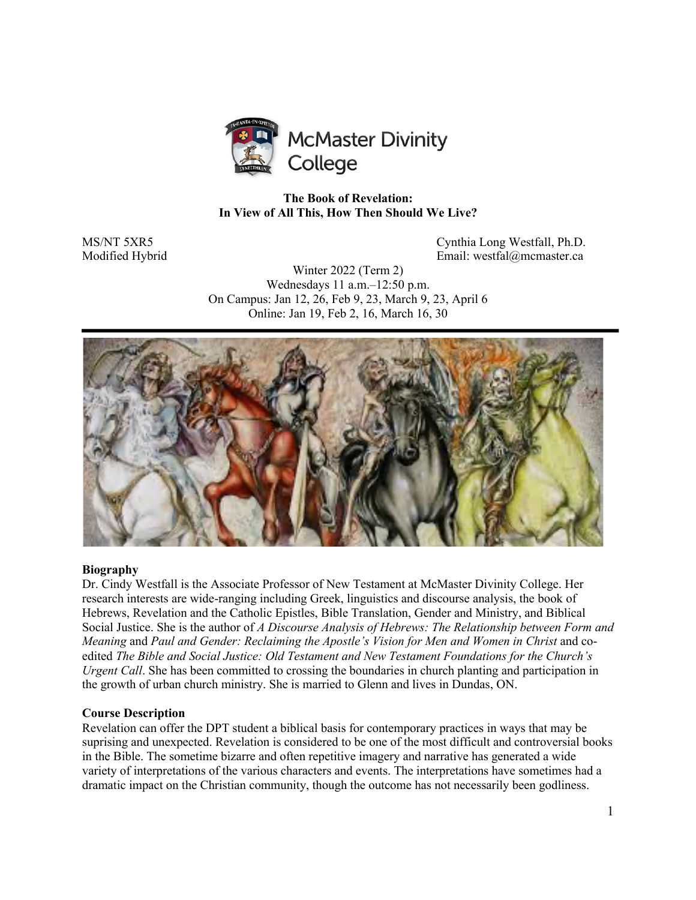

### **The Book of Revelation: In View of All This, How Then Should We Live?**

MS/NT 5XR5 Cynthia Long Westfall, Ph.D. Modified Hybrid Email: westfal@mcmaster.ca

> Winter 2022 (Term 2) Wednesdays 11 a.m.–12:50 p.m. On Campus: Jan 12, 26, Feb 9, 23, March 9, 23, April 6 Online: Jan 19, Feb 2, 16, March 16, 30



#### **Biography**

Dr. Cindy Westfall is the Associate Professor of New Testament at McMaster Divinity College. Her research interests are wide-ranging including Greek, linguistics and discourse analysis, the book of Hebrews, Revelation and the Catholic Epistles, Bible Translation, Gender and Ministry, and Biblical Social Justice. She is the author of *A Discourse Analysis of Hebrews: The Relationship between Form and Meaning* and *Paul and Gender: Reclaiming the Apostle's Vision for Men and Women in Christ* and coedited *The Bible and Social Justice: Old Testament and New Testament Foundations for the Church's Urgent Call*. She has been committed to crossing the boundaries in church planting and participation in the growth of urban church ministry. She is married to Glenn and lives in Dundas, ON.

#### **Course Description**

Revelation can offer the DPT student a biblical basis for contemporary practices in ways that may be suprising and unexpected. Revelation is considered to be one of the most difficult and controversial books in the Bible. The sometime bizarre and often repetitive imagery and narrative has generated a wide variety of interpretations of the various characters and events. The interpretations have sometimes had a dramatic impact on the Christian community, though the outcome has not necessarily been godliness.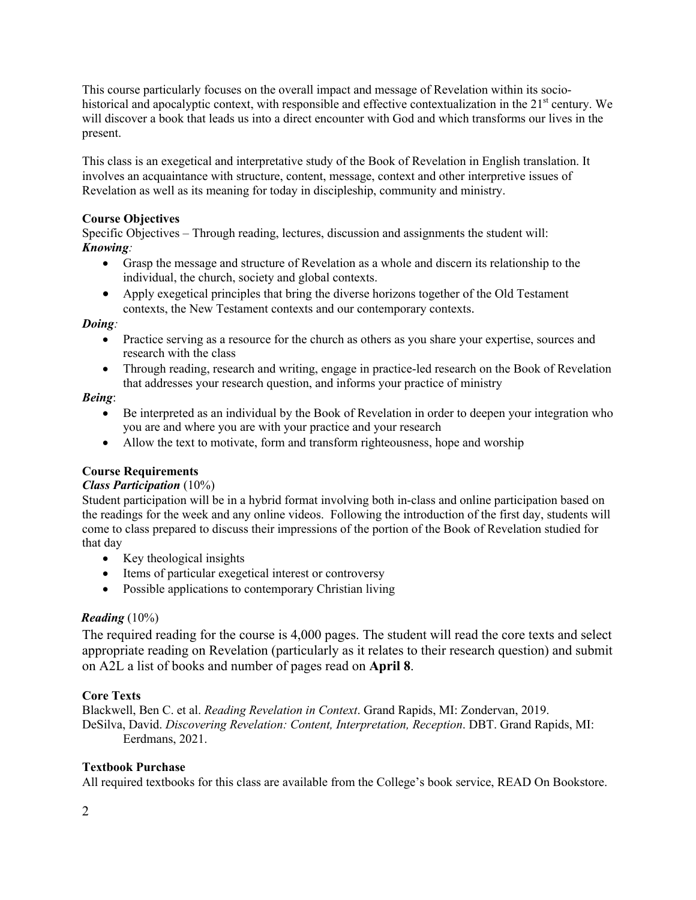This course particularly focuses on the overall impact and message of Revelation within its sociohistorical and apocalyptic context, with responsible and effective contextualization in the  $21<sup>st</sup>$  century. We will discover a book that leads us into a direct encounter with God and which transforms our lives in the present.

This class is an exegetical and interpretative study of the Book of Revelation in English translation. It involves an acquaintance with structure, content, message, context and other interpretive issues of Revelation as well as its meaning for today in discipleship, community and ministry.

### **Course Objectives**

Specific Objectives – Through reading, lectures, discussion and assignments the student will: *Knowing:*

- Grasp the message and structure of Revelation as a whole and discern its relationship to the individual, the church, society and global contexts.
- Apply exegetical principles that bring the diverse horizons together of the Old Testament contexts, the New Testament contexts and our contemporary contexts.

#### *Doing:*

- Practice serving as a resource for the church as others as you share your expertise, sources and research with the class
- Through reading, research and writing, engage in practice-led research on the Book of Revelation that addresses your research question, and informs your practice of ministry

### *Being*:

- Be interpreted as an individual by the Book of Revelation in order to deepen your integration who you are and where you are with your practice and your research
- Allow the text to motivate, form and transform righteousness, hope and worship

### **Course Requirements**

#### *Class Participation* (10%)

Student participation will be in a hybrid format involving both in-class and online participation based on the readings for the week and any online videos. Following the introduction of the first day, students will come to class prepared to discuss their impressions of the portion of the Book of Revelation studied for that day

- Key theological insights
- Items of particular exegetical interest or controversy
- Possible applications to contemporary Christian living

### *Reading* (10%)

The required reading for the course is 4,000 pages. The student will read the core texts and select appropriate reading on Revelation (particularly as it relates to their research question) and submit on A2L a list of books and number of pages read on **April 8**.

### **Core Texts**

Blackwell, Ben C. et al. *Reading Revelation in Context*. Grand Rapids, MI: Zondervan, 2019. DeSilva, David. *Discovering Revelation: Content, Interpretation, Reception*. DBT. Grand Rapids, MI: Eerdmans, 2021.

### **Textbook Purchase**

All required textbooks for this class are available from the College's book service, READ On Bookstore.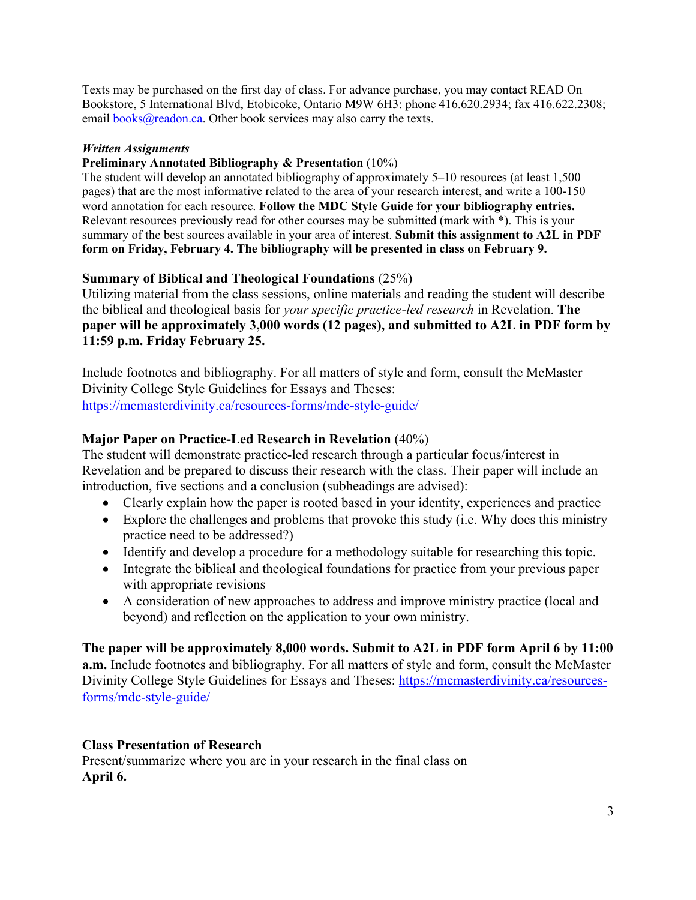Texts may be purchased on the first day of class. For advance purchase, you may contact READ On Bookstore, 5 International Blvd, Etobicoke, Ontario M9W 6H3: phone 416.620.2934; fax 416.622.2308; email **books@readon.ca**. Other book services may also carry the texts.

### *Written Assignments*

### **Preliminary Annotated Bibliography & Presentation** (10%)

The student will develop an annotated bibliography of approximately 5–10 resources (at least 1,500 pages) that are the most informative related to the area of your research interest, and write a 100-150 word annotation for each resource. **Follow the MDC Style Guide for your bibliography entries.** Relevant resources previously read for other courses may be submitted (mark with \*). This is your summary of the best sources available in your area of interest. **Submit this assignment to A2L in PDF form on Friday, February 4. The bibliography will be presented in class on February 9.** 

# **Summary of Biblical and Theological Foundations** (25%)

Utilizing material from the class sessions, online materials and reading the student will describe the biblical and theological basis for *your specific practice-led research* in Revelation. **The paper will be approximately 3,000 words (12 pages), and submitted to A2L in PDF form by 11:59 p.m. Friday February 25.**

Include footnotes and bibliography. For all matters of style and form, consult the McMaster Divinity College Style Guidelines for Essays and Theses: https://mcmasterdivinity.ca/resources-forms/mdc-style-guide/

# **Major Paper on Practice-Led Research in Revelation** (40%)

The student will demonstrate practice-led research through a particular focus/interest in Revelation and be prepared to discuss their research with the class. Their paper will include an introduction, five sections and a conclusion (subheadings are advised):

- Clearly explain how the paper is rooted based in your identity, experiences and practice
- Explore the challenges and problems that provoke this study (i.e. Why does this ministry practice need to be addressed?)
- Identify and develop a procedure for a methodology suitable for researching this topic.
- Integrate the biblical and theological foundations for practice from your previous paper with appropriate revisions
- A consideration of new approaches to address and improve ministry practice (local and beyond) and reflection on the application to your own ministry.

**The paper will be approximately 8,000 words. Submit to A2L in PDF form April 6 by 11:00 a.m.** Include footnotes and bibliography. For all matters of style and form, consult the McMaster Divinity College Style Guidelines for Essays and Theses: https://mcmasterdivinity.ca/resourcesforms/mdc-style-guide/

# **Class Presentation of Research**

Present/summarize where you are in your research in the final class on **April 6.**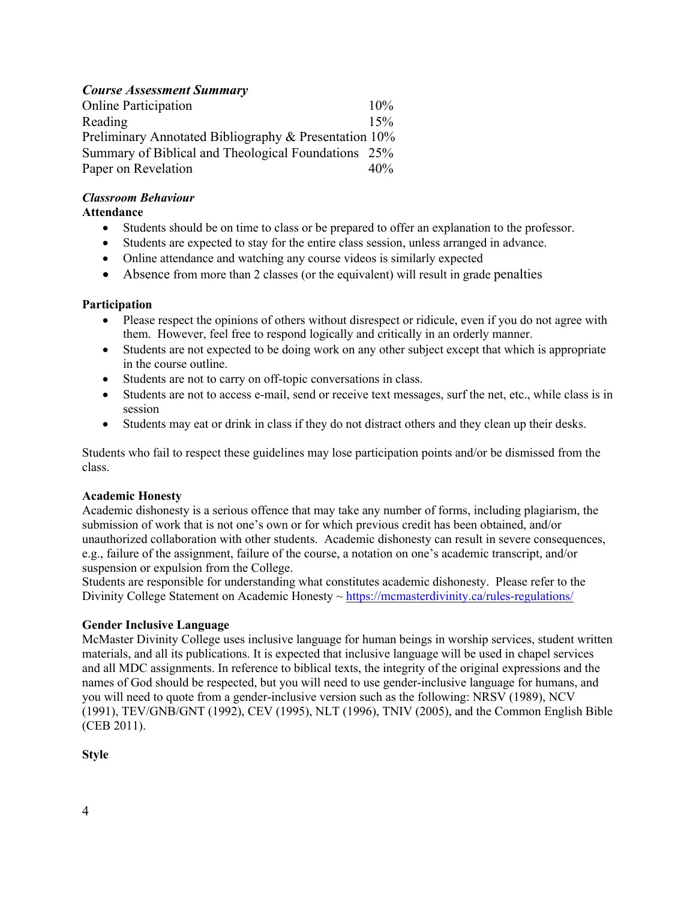# *Course Assessment Summary*

| <b>Online Participation</b>                           | $10\%$ |
|-------------------------------------------------------|--------|
| Reading                                               | 15%    |
| Preliminary Annotated Bibliography & Presentation 10% |        |
| Summary of Biblical and Theological Foundations 25%   |        |
| Paper on Revelation                                   | 40%    |

## *Classroom Behaviour*

### **Attendance**

- Students should be on time to class or be prepared to offer an explanation to the professor.
- Students are expected to stay for the entire class session, unless arranged in advance.
- Online attendance and watching any course videos is similarly expected
- Absence from more than 2 classes (or the equivalent) will result in grade penalties

### **Participation**

- Please respect the opinions of others without disrespect or ridicule, even if you do not agree with them. However, feel free to respond logically and critically in an orderly manner.
- Students are not expected to be doing work on any other subject except that which is appropriate in the course outline.
- Students are not to carry on off-topic conversations in class.
- Students are not to access e-mail, send or receive text messages, surf the net, etc., while class is in session
- Students may eat or drink in class if they do not distract others and they clean up their desks.

Students who fail to respect these guidelines may lose participation points and/or be dismissed from the class.

### **Academic Honesty**

Academic dishonesty is a serious offence that may take any number of forms, including plagiarism, the submission of work that is not one's own or for which previous credit has been obtained, and/or unauthorized collaboration with other students. Academic dishonesty can result in severe consequences, e.g., failure of the assignment, failure of the course, a notation on one's academic transcript, and/or suspension or expulsion from the College.

Students are responsible for understanding what constitutes academic dishonesty. Please refer to the Divinity College Statement on Academic Honesty ~ https://mcmasterdivinity.ca/rules-regulations/

### **Gender Inclusive Language**

McMaster Divinity College uses inclusive language for human beings in worship services, student written materials, and all its publications. It is expected that inclusive language will be used in chapel services and all MDC assignments. In reference to biblical texts, the integrity of the original expressions and the names of God should be respected, but you will need to use gender-inclusive language for humans, and you will need to quote from a gender-inclusive version such as the following: NRSV (1989), NCV (1991), TEV/GNB/GNT (1992), CEV (1995), NLT (1996), TNIV (2005), and the Common English Bible (CEB 2011).

### **Style**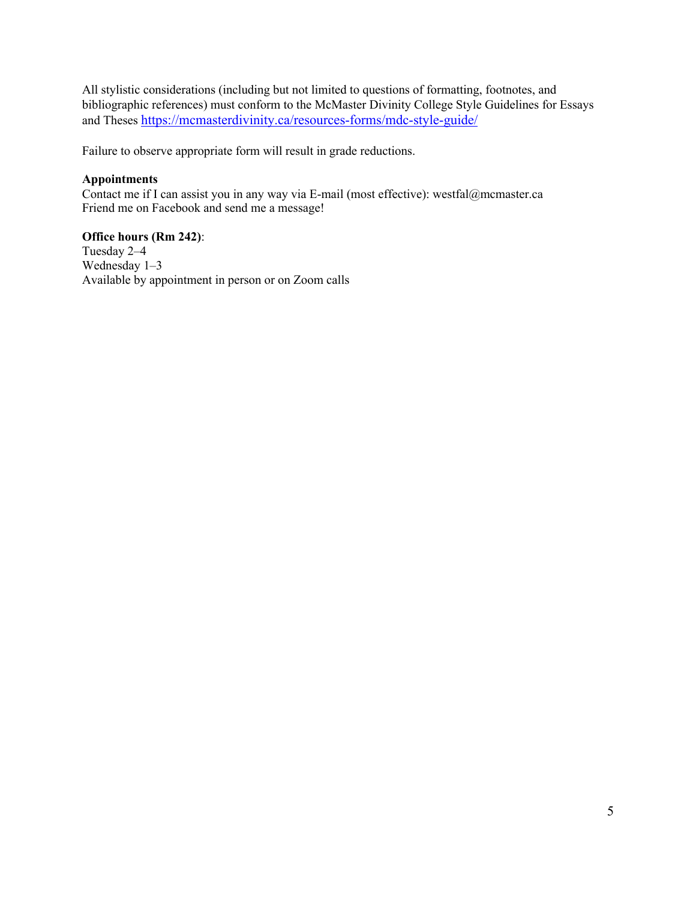All stylistic considerations (including but not limited to questions of formatting, footnotes, and bibliographic references) must conform to the McMaster Divinity College Style Guidelines for Essays and Theses https://mcmasterdivinity.ca/resources-forms/mdc-style-guide/

Failure to observe appropriate form will result in grade reductions.

### **Appointments**

Contact me if I can assist you in any way via E-mail (most effective): westfal@mcmaster.ca Friend me on Facebook and send me a message!

### **Office hours (Rm 242)**:

Tuesday 2–4 Wednesday 1–3 Available by appointment in person or on Zoom calls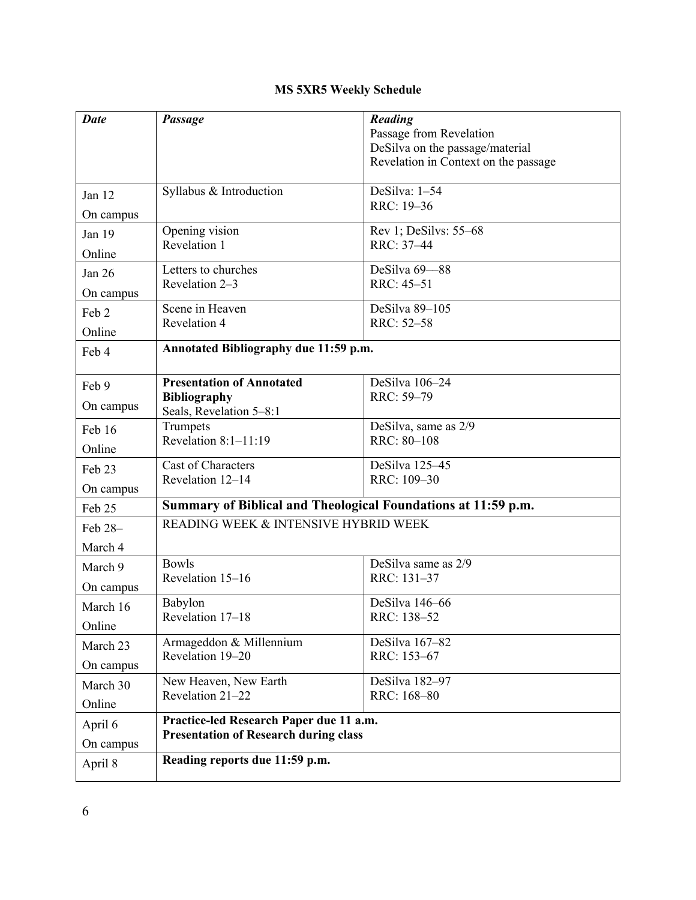# **MS 5XR5 Weekly Schedule**

| <b>Date</b> | Passage                                                       | Reading                                                    |  |
|-------------|---------------------------------------------------------------|------------------------------------------------------------|--|
|             |                                                               | Passage from Revelation<br>DeSilva on the passage/material |  |
|             |                                                               | Revelation in Context on the passage                       |  |
|             |                                                               |                                                            |  |
| Jan 12      | Syllabus & Introduction                                       | DeSilva: 1-54                                              |  |
| On campus   |                                                               | RRC: 19-36                                                 |  |
| Jan 19      | Opening vision                                                | Rev 1; DeSilvs: 55-68                                      |  |
| Online      | Revelation 1                                                  | RRC: 37-44                                                 |  |
| Jan 26      | Letters to churches                                           | DeSilva 69-88                                              |  |
| On campus   | Revelation 2-3                                                | RRC: 45-51                                                 |  |
| Feb 2       | Scene in Heaven                                               | DeSilva 89-105                                             |  |
| Online      | Revelation 4                                                  | RRC: 52-58                                                 |  |
| Feb 4       | Annotated Bibliography due 11:59 p.m.                         |                                                            |  |
|             |                                                               |                                                            |  |
| Feb 9       | <b>Presentation of Annotated</b>                              | DeSilva 106-24                                             |  |
| On campus   | <b>Bibliography</b><br>Seals, Revelation 5-8:1                | RRC: 59-79                                                 |  |
| Feb 16      | Trumpets                                                      | DeSilva, same as 2/9                                       |  |
| Online      | Revelation 8:1-11:19                                          | RRC: 80-108                                                |  |
| Feb 23      | Cast of Characters                                            | DeSilva 125-45                                             |  |
| On campus   | Revelation 12-14                                              | RRC: 109-30                                                |  |
| Feb 25      | Summary of Biblical and Theological Foundations at 11:59 p.m. |                                                            |  |
| Feb 28-     | READING WEEK & INTENSIVE HYBRID WEEK                          |                                                            |  |
| March 4     |                                                               |                                                            |  |
| March 9     | <b>Bowls</b>                                                  | DeSilva same as 2/9                                        |  |
| On campus   | Revelation 15-16                                              | RRC: 131-37                                                |  |
| March 16    | Babylon                                                       | DeSilva 146-66                                             |  |
| Online      | Revelation 17–18                                              | RRC: 138-52                                                |  |
| March 23    | Armageddon & Millennium                                       | DeSilva 167-82                                             |  |
| On campus   | Revelation 19-20                                              | RRC: 153-67                                                |  |
| March 30    | New Heaven, New Earth                                         | DeSilva 182-97                                             |  |
| Online      | Revelation 21-22                                              | RRC: 168-80                                                |  |
| April 6     | Practice-led Research Paper due 11 a.m.                       |                                                            |  |
| On campus   | <b>Presentation of Research during class</b>                  |                                                            |  |
| April 8     | Reading reports due 11:59 p.m.                                |                                                            |  |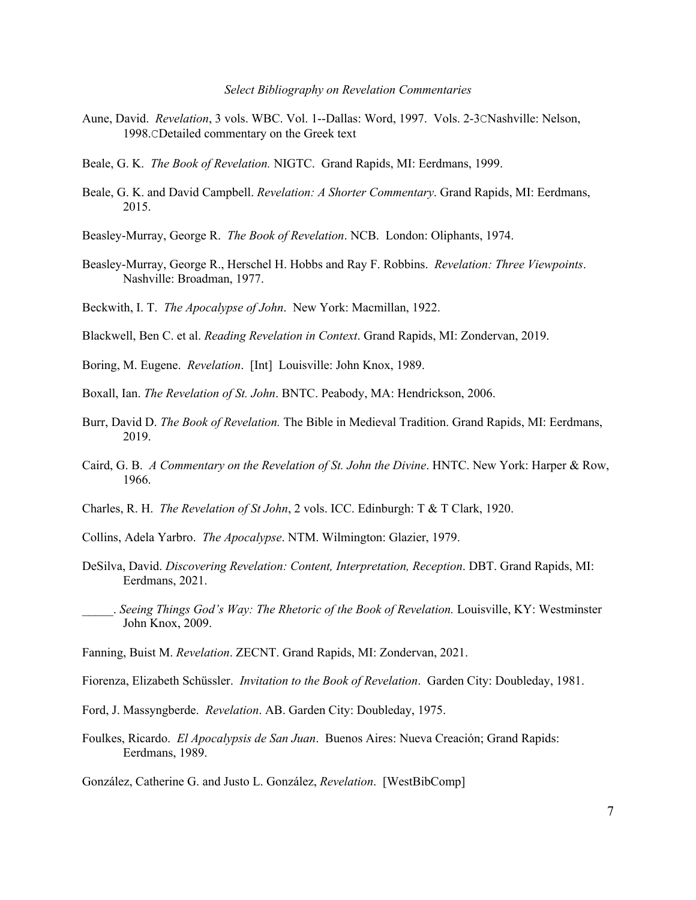#### *Select Bibliography on Revelation Commentaries*

- Aune, David. *Revelation*, 3 vols. WBC. Vol. 1--Dallas: Word, 1997. Vols. 2-3CNashville: Nelson, 1998.CDetailed commentary on the Greek text
- Beale, G. K. *The Book of Revelation.* NIGTC. Grand Rapids, MI: Eerdmans, 1999.
- Beale, G. K. and David Campbell. *Revelation: A Shorter Commentary*. Grand Rapids, MI: Eerdmans, 2015.
- Beasley-Murray, George R. *The Book of Revelation*. NCB. London: Oliphants, 1974.
- Beasley-Murray, George R., Herschel H. Hobbs and Ray F. Robbins. *Revelation: Three Viewpoints*. Nashville: Broadman, 1977.
- Beckwith, I. T. *The Apocalypse of John*. New York: Macmillan, 1922.
- Blackwell, Ben C. et al. *Reading Revelation in Context*. Grand Rapids, MI: Zondervan, 2019.
- Boring, M. Eugene. *Revelation*. [Int] Louisville: John Knox, 1989.
- Boxall, Ian. *The Revelation of St. John*. BNTC. Peabody, MA: Hendrickson, 2006.
- Burr, David D. *The Book of Revelation.* The Bible in Medieval Tradition. Grand Rapids, MI: Eerdmans, 2019.
- Caird, G. B. *A Commentary on the Revelation of St. John the Divine*. HNTC. New York: Harper & Row, 1966.
- Charles, R. H. *The Revelation of St John*, 2 vols. ICC. Edinburgh: T & T Clark, 1920.
- Collins, Adela Yarbro. *The Apocalypse*. NTM. Wilmington: Glazier, 1979.
- DeSilva, David. *Discovering Revelation: Content, Interpretation, Reception*. DBT. Grand Rapids, MI: Eerdmans, 2021.
- \_\_\_\_\_. *Seeing Things God's Way: The Rhetoric of the Book of Revelation.* Louisville, KY: Westminster John Knox, 2009.
- Fanning, Buist M. *Revelation*. ZECNT. Grand Rapids, MI: Zondervan, 2021.

Fiorenza, Elizabeth Schüssler. *Invitation to the Book of Revelation*. Garden City: Doubleday, 1981.

- Ford, J. Massyngberde. *Revelation*. AB. Garden City: Doubleday, 1975.
- Foulkes, Ricardo. *El Apocalypsis de San Juan*. Buenos Aires: Nueva Creación; Grand Rapids: Eerdmans, 1989.
- González, Catherine G. and Justo L. González, *Revelation*. [WestBibComp]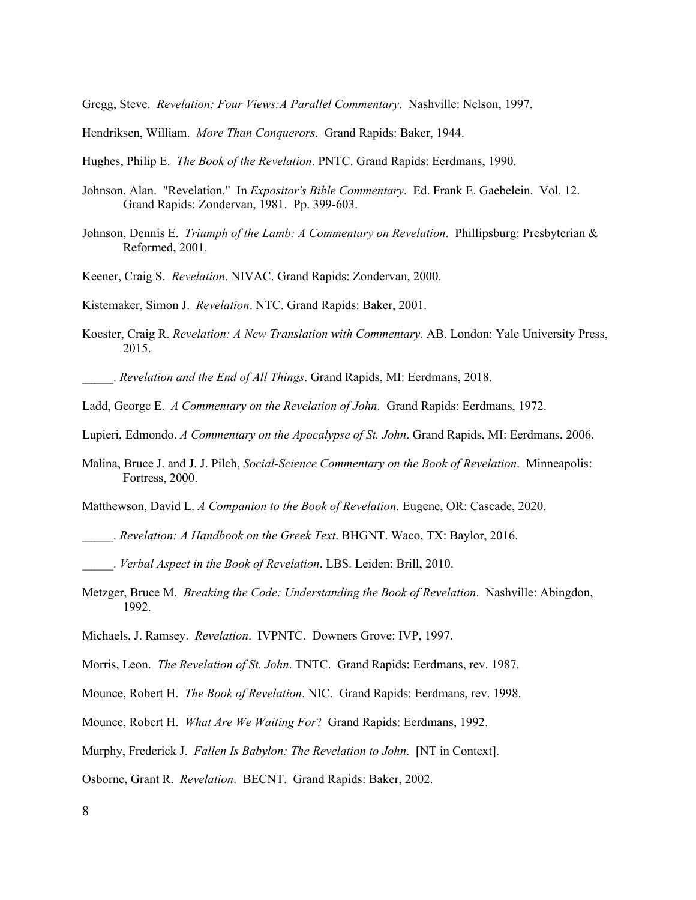Gregg, Steve. *Revelation: Four Views:A Parallel Commentary*. Nashville: Nelson, 1997.

- Hendriksen, William. *More Than Conquerors*. Grand Rapids: Baker, 1944.
- Hughes, Philip E. *The Book of the Revelation*. PNTC. Grand Rapids: Eerdmans, 1990.
- Johnson, Alan. "Revelation." In *Expositor's Bible Commentary*. Ed. Frank E. Gaebelein. Vol. 12. Grand Rapids: Zondervan, 1981. Pp. 399-603.
- Johnson, Dennis E. *Triumph of the Lamb: A Commentary on Revelation*. Phillipsburg: Presbyterian & Reformed, 2001.
- Keener, Craig S. *Revelation*. NIVAC. Grand Rapids: Zondervan, 2000.

Kistemaker, Simon J. *Revelation*. NTC. Grand Rapids: Baker, 2001.

Koester, Craig R. *Revelation: A New Translation with Commentary*. AB. London: Yale University Press, 2015.

\_\_\_\_\_. *Revelation and the End of All Things*. Grand Rapids, MI: Eerdmans, 2018.

- Ladd, George E. *A Commentary on the Revelation of John*. Grand Rapids: Eerdmans, 1972.
- Lupieri, Edmondo. *A Commentary on the Apocalypse of St. John*. Grand Rapids, MI: Eerdmans, 2006.
- Malina, Bruce J. and J. J. Pilch, *Social-Science Commentary on the Book of Revelation*. Minneapolis: Fortress, 2000.

Matthewson, David L. *A Companion to the Book of Revelation.* Eugene, OR: Cascade, 2020.

- \_\_\_\_\_. *Revelation: A Handbook on the Greek Text*. BHGNT. Waco, TX: Baylor, 2016.
- \_\_\_\_\_. *Verbal Aspect in the Book of Revelation*. LBS. Leiden: Brill, 2010.
- Metzger, Bruce M. *Breaking the Code: Understanding the Book of Revelation*. Nashville: Abingdon, 1992.
- Michaels, J. Ramsey. *Revelation*. IVPNTC. Downers Grove: IVP, 1997.
- Morris, Leon. *The Revelation of St. John*. TNTC. Grand Rapids: Eerdmans, rev. 1987.
- Mounce, Robert H. *The Book of Revelation*. NIC. Grand Rapids: Eerdmans, rev. 1998.
- Mounce, Robert H. *What Are We Waiting For*? Grand Rapids: Eerdmans, 1992.
- Murphy, Frederick J. *Fallen Is Babylon: The Revelation to John*. [NT in Context].

Osborne, Grant R. *Revelation*. BECNT. Grand Rapids: Baker, 2002.